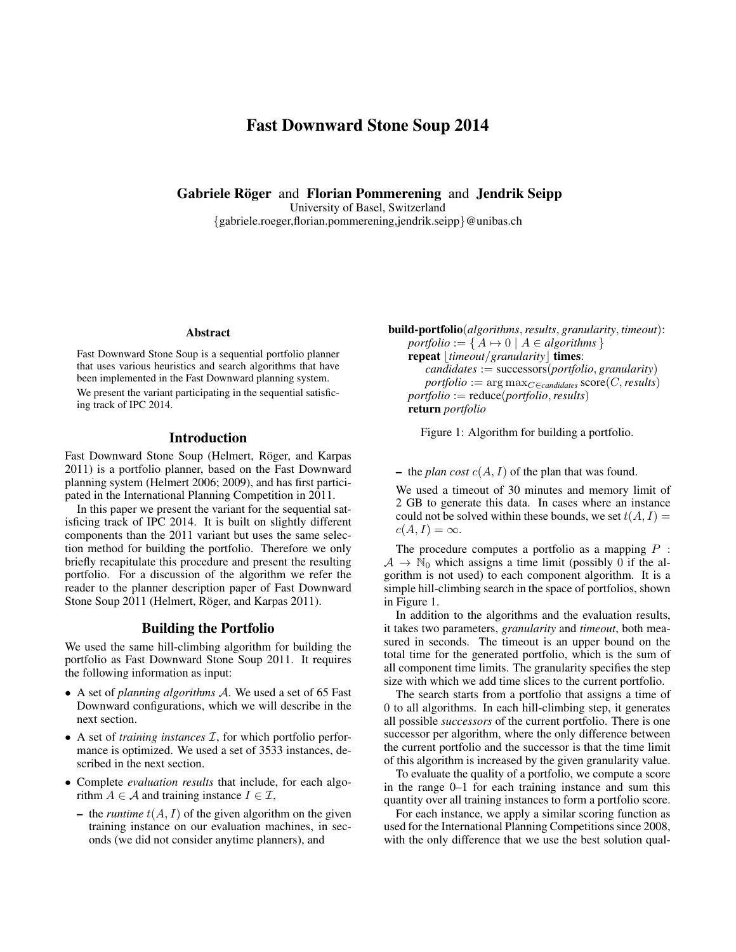# Fast Downward Stone Soup 2014

Gabriele Röger and Florian Pommerening and Jendrik Seipp

University of Basel, Switzerland

{gabriele.roeger,florian.pommerening,jendrik.seipp}@unibas.ch

#### Abstract

Fast Downward Stone Soup is a sequential portfolio planner that uses various heuristics and search algorithms that have been implemented in the Fast Downward planning system. We present the variant participating in the sequential satisficing track of IPC 2014.

#### Introduction

Fast Downward Stone Soup (Helmert, Röger, and Karpas 2011) is a portfolio planner, based on the Fast Downward planning system (Helmert 2006; 2009), and has first participated in the International Planning Competition in 2011.

In this paper we present the variant for the sequential satisficing track of IPC 2014. It is built on slightly different components than the 2011 variant but uses the same selection method for building the portfolio. Therefore we only briefly recapitulate this procedure and present the resulting portfolio. For a discussion of the algorithm we refer the reader to the planner description paper of Fast Downward Stone Soup 2011 (Helmert, Röger, and Karpas 2011).

#### Building the Portfolio

We used the same hill-climbing algorithm for building the portfolio as Fast Downward Stone Soup 2011. It requires the following information as input:

- A set of *planning algorithms* A. We used a set of 65 Fast Downward configurations, which we will describe in the next section.
- A set of *training instances I*, for which portfolio performance is optimized. We used a set of 3533 instances, described in the next section.
- Complete *evaluation results* that include, for each algorithm  $A \in \mathcal{A}$  and training instance  $I \in \mathcal{I}$ ,
	- the *runtime*  $t(A, I)$  of the given algorithm on the given training instance on our evaluation machines, in seconds (we did not consider anytime planners), and

build-portfolio(*algorithms*,*results*, *granularity*, *timeout*):  $portfolio := \{ A \mapsto 0 \mid A \in algorithms \}$ repeat *[timeout/granularity]* times: *candidates* := successors(*portfolio*, *granularity*)  $portfolio := \arg \max_{C \in candidates} score(C, results)$ *portfolio* := reduce(*portfolio*,*results*) return *portfolio*

Figure 1: Algorithm for building a portfolio.

– the *plan cost*  $c(A, I)$  of the plan that was found.

We used a timeout of 30 minutes and memory limit of 2 GB to generate this data. In cases where an instance could not be solved within these bounds, we set  $t(A, I) =$  $c(A, I) = \infty$ .

The procedure computes a portfolio as a mapping  $P$ :  $A \rightarrow \mathbb{N}_0$  which assigns a time limit (possibly 0 if the algorithm is not used) to each component algorithm. It is a simple hill-climbing search in the space of portfolios, shown in Figure 1.

In addition to the algorithms and the evaluation results, it takes two parameters, *granularity* and *timeout*, both measured in seconds. The timeout is an upper bound on the total time for the generated portfolio, which is the sum of all component time limits. The granularity specifies the step size with which we add time slices to the current portfolio.

The search starts from a portfolio that assigns a time of 0 to all algorithms. In each hill-climbing step, it generates all possible *successors* of the current portfolio. There is one successor per algorithm, where the only difference between the current portfolio and the successor is that the time limit of this algorithm is increased by the given granularity value.

To evaluate the quality of a portfolio, we compute a score in the range 0–1 for each training instance and sum this quantity over all training instances to form a portfolio score.

For each instance, we apply a similar scoring function as used for the International Planning Competitions since 2008, with the only difference that we use the best solution qual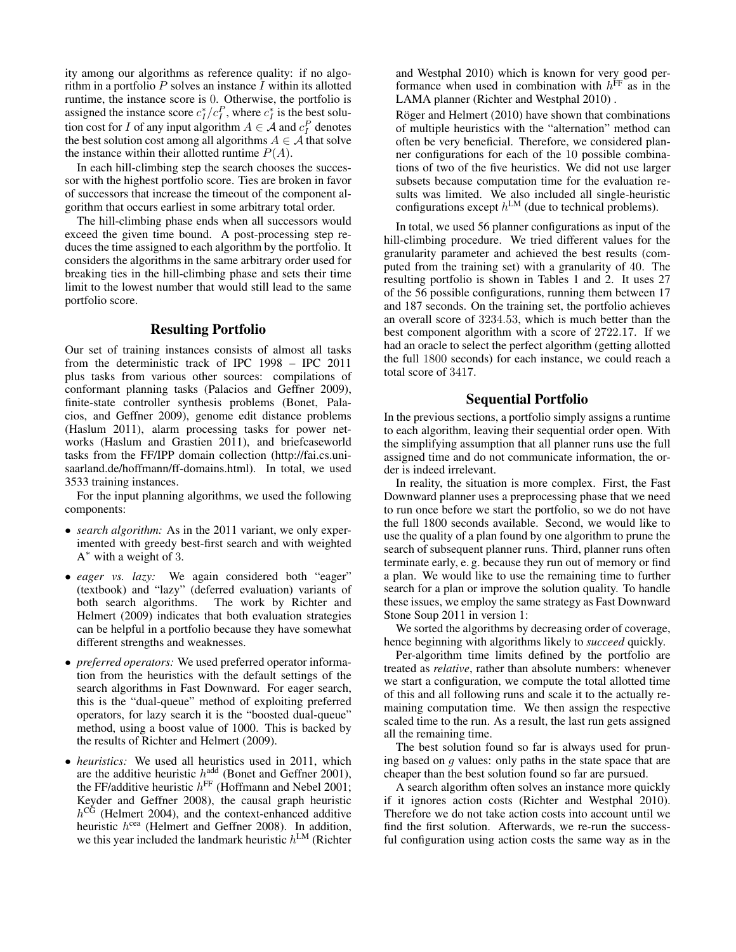ity among our algorithms as reference quality: if no algorithm in a portfolio  $P$  solves an instance  $I$  within its allotted runtime, the instance score is 0. Otherwise, the portfolio is assigned the instance score  $c_I^*/c_I^P$ , where  $c_I^*$  is the best solution cost for *I* of any input algorithm  $A \in \mathcal{A}$  and  $c_I^P$  denotes the best solution cost among all algorithms  $A \in \mathcal{A}$  that solve the instance within their allotted runtime  $P(A)$ .

In each hill-climbing step the search chooses the successor with the highest portfolio score. Ties are broken in favor of successors that increase the timeout of the component algorithm that occurs earliest in some arbitrary total order.

The hill-climbing phase ends when all successors would exceed the given time bound. A post-processing step reduces the time assigned to each algorithm by the portfolio. It considers the algorithms in the same arbitrary order used for breaking ties in the hill-climbing phase and sets their time limit to the lowest number that would still lead to the same portfolio score.

#### Resulting Portfolio

Our set of training instances consists of almost all tasks from the deterministic track of IPC 1998 – IPC 2011 plus tasks from various other sources: compilations of conformant planning tasks (Palacios and Geffner 2009), finite-state controller synthesis problems (Bonet, Palacios, and Geffner 2009), genome edit distance problems (Haslum 2011), alarm processing tasks for power networks (Haslum and Grastien 2011), and briefcaseworld tasks from the FF/IPP domain collection (http://fai.cs.unisaarland.de/hoffmann/ff-domains.html). In total, we used 3533 training instances.

For the input planning algorithms, we used the following components:

- *search algorithm:* As in the 2011 variant, we only experimented with greedy best-first search and with weighted  $A^*$  with a weight of 3.
- *eager vs. lazy:* We again considered both "eager" (textbook) and "lazy" (deferred evaluation) variants of both search algorithms. The work by Richter and Helmert (2009) indicates that both evaluation strategies can be helpful in a portfolio because they have somewhat different strengths and weaknesses.
- *preferred operators:* We used preferred operator information from the heuristics with the default settings of the search algorithms in Fast Downward. For eager search, this is the "dual-queue" method of exploiting preferred operators, for lazy search it is the "boosted dual-queue" method, using a boost value of 1000. This is backed by the results of Richter and Helmert (2009).
- *heuristics:* We used all heuristics used in 2011, which are the additive heuristic  $h^{\text{add}}$  (Bonet and Geffner 2001), the FF/additive heuristic  $h^{\text{FF}}$  (Hoffmann and Nebel 2001; Keyder and Geffner 2008), the causal graph heuristic  $h^{\overline{CG}}$  (Helmert 2004), and the context-enhanced additive heuristic  $h^{\text{cea}}$  (Helmert and Geffner 2008). In addition, we this year included the landmark heuristic  $h^{\text{LM}}$  (Richter

and Westphal 2010) which is known for very good performance when used in combination with  $h^{\text{FF}}$  as in the LAMA planner (Richter and Westphal 2010) .

Röger and Helmert  $(2010)$  have shown that combinations of multiple heuristics with the "alternation" method can often be very beneficial. Therefore, we considered planner configurations for each of the 10 possible combinations of two of the five heuristics. We did not use larger subsets because computation time for the evaluation results was limited. We also included all single-heuristic configurations except  $h^{\text{LM}}$  (due to technical problems).

In total, we used 56 planner configurations as input of the hill-climbing procedure. We tried different values for the granularity parameter and achieved the best results (computed from the training set) with a granularity of 40. The resulting portfolio is shown in Tables 1 and 2. It uses 27 of the 56 possible configurations, running them between 17 and 187 seconds. On the training set, the portfolio achieves an overall score of 3234.53, which is much better than the best component algorithm with a score of 2722.17. If we had an oracle to select the perfect algorithm (getting allotted the full 1800 seconds) for each instance, we could reach a total score of 3417.

### Sequential Portfolio

In the previous sections, a portfolio simply assigns a runtime to each algorithm, leaving their sequential order open. With the simplifying assumption that all planner runs use the full assigned time and do not communicate information, the order is indeed irrelevant.

In reality, the situation is more complex. First, the Fast Downward planner uses a preprocessing phase that we need to run once before we start the portfolio, so we do not have the full 1800 seconds available. Second, we would like to use the quality of a plan found by one algorithm to prune the search of subsequent planner runs. Third, planner runs often terminate early, e. g. because they run out of memory or find a plan. We would like to use the remaining time to further search for a plan or improve the solution quality. To handle these issues, we employ the same strategy as Fast Downward Stone Soup 2011 in version 1:

We sorted the algorithms by decreasing order of coverage, hence beginning with algorithms likely to *succeed* quickly.

Per-algorithm time limits defined by the portfolio are treated as *relative*, rather than absolute numbers: whenever we start a configuration, we compute the total allotted time of this and all following runs and scale it to the actually remaining computation time. We then assign the respective scaled time to the run. As a result, the last run gets assigned all the remaining time.

The best solution found so far is always used for pruning based on  $g$  values: only paths in the state space that are cheaper than the best solution found so far are pursued.

A search algorithm often solves an instance more quickly if it ignores action costs (Richter and Westphal 2010). Therefore we do not take action costs into account until we find the first solution. Afterwards, we re-run the successful configuration using action costs the same way as in the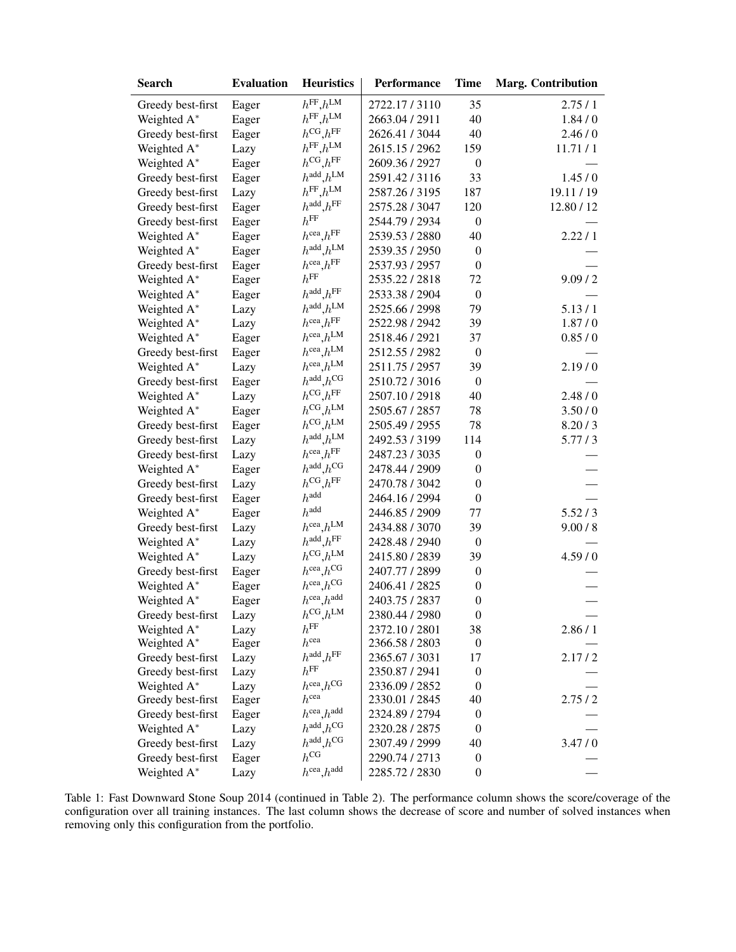| <b>Search</b>     | <b>Evaluation</b> | <b>Heuristics</b>                   | Performance    | <b>Time</b>      | <b>Marg. Contribution</b> |
|-------------------|-------------------|-------------------------------------|----------------|------------------|---------------------------|
| Greedy best-first | Eager             | $h^{\text{FF}}, h^{\text{LM}}$      | 2722.17/3110   | 35               | 2.75/1                    |
| Weighted A*       | Eager             | $h^{\text{FF}}, h^{\text{LM}}$      | 2663.04 / 2911 | 40               | 1.84/0                    |
| Greedy best-first | Eager             | $h^{\text{CG}}, h^{\text{FF}}$      | 2626.41 / 3044 | 40               | 2.46/0                    |
| Weighted A*       | Lazy              | $h^{\text{FF}}, h^{\text{LM}}$      | 2615.15 / 2962 | 159              | 11.71/1                   |
| Weighted A*       | Eager             | $h^{\text{CG}}, h^{\text{FF}}$      | 2609.36 / 2927 | $\boldsymbol{0}$ |                           |
| Greedy best-first | Eager             | $h^{\text{add}}$ , $h^{\text{LM}}$  | 2591.42/3116   | 33               | 1.45/0                    |
| Greedy best-first | Lazy              | $h^\mathrm{FF},h^\mathrm{LM}$       | 2587.26 / 3195 | 187              | 19.11 / 19                |
| Greedy best-first | Eager             | $h^{\text{add}}, h^{\text{FF}}$     | 2575.28 / 3047 | 120              | 12.80 / 12                |
| Greedy best-first | Eager             | $h^{\text{FF}}$                     | 2544.79 / 2934 | $\boldsymbol{0}$ |                           |
| Weighted A*       | Eager             | $h^{\text{cea}}$ , $h^{\text{FF}}$  | 2539.53 / 2880 | 40               | 2.22/1                    |
| Weighted A*       | Eager             | $h^{\text{add}}$ , $h^{\text{LM}}$  | 2539.35 / 2950 | $\boldsymbol{0}$ |                           |
| Greedy best-first | Eager             | $h^{\rm cea}, h^{\rm FF}$           | 2537.93 / 2957 | $\boldsymbol{0}$ |                           |
| Weighted A*       | Eager             | $h^{\mathrm{FF}}$                   | 2535.22 / 2818 | 72               | 9.09 / 2                  |
| Weighted A*       | Eager             | $h^{\text{add}}$ , $h^{\text{FF}}$  | 2533.38 / 2904 | $\boldsymbol{0}$ |                           |
| Weighted A*       | Lazy              | $h^{\text{add}}h^{\text{LM}}$       | 2525.66 / 2998 | 79               | 5.13/1                    |
| Weighted A*       | Lazy              | $h^{\text{cea}}, h^{\text{FF}}$     | 2522.98 / 2942 | 39               | 1.87/0                    |
| Weighted A*       | Eager             | $h^{\rm cea}, h^{\rm LM}$           | 2518.46 / 2921 | 37               | 0.85/0                    |
| Greedy best-first | Eager             | $h^{\text{cea}}$ , $h^{\text{LM}}$  | 2512.55 / 2982 | $\boldsymbol{0}$ |                           |
| Weighted A*       | Lazy              | $h^{\text{cea}}$ , $h^{\text{LM}}$  | 2511.75 / 2957 | 39               | 2.19/0                    |
| Greedy best-first | Eager             | $h^{\text{add}}$ , $h^{\text{CG}}$  | 2510.72 / 3016 | $\boldsymbol{0}$ |                           |
| Weighted A*       |                   | $h^{\text{CG}}, h^{\text{FF}}$      | 2507.10 / 2918 | 40               | 2.48/0                    |
|                   | Lazy              | $h^{\text{CG}}, h^{\text{LM}}$      | 2505.67 / 2857 | 78               | 3.50/0                    |
| Weighted A*       | Eager             | $h^{\text{CG}}.h^{\text{LM}}$       |                | 78               |                           |
| Greedy best-first | Eager             | $h^{\text{add}}.h^{\text{LM}}$      | 2505.49 / 2955 | 114              | 8.20/3                    |
| Greedy best-first | Lazy              | $h^{\text{cea}}.h^{\text{FF}}$      | 2492.53 / 3199 |                  | 5.77/3                    |
| Greedy best-first | Lazy              | $h^{\text{add}}.h^{\text{CG}}$      | 2487.23 / 3035 | $\boldsymbol{0}$ |                           |
| Weighted A*       | Eager             | $h^{\text{CG}}, h^{\text{FF}}$      | 2478.44 / 2909 | $\boldsymbol{0}$ |                           |
| Greedy best-first | Lazy              | $h^{\mathrm{add}}$                  | 2470.78 / 3042 | $\boldsymbol{0}$ |                           |
| Greedy best-first | Eager             | $h^{\rm add}$                       | 2464.16 / 2994 | $\boldsymbol{0}$ |                           |
| Weighted A*       | Eager             | $h^{\text{cea}}.h^{\text{LM}}$      | 2446.85 / 2909 | 77               | 5.52/3                    |
| Greedy best-first | Lazy              |                                     | 2434.88 / 3070 | 39               | 9.00 / 8                  |
| Weighted A*       | Lazy              | $h^{\text{add}}.h^{\text{FF}}$      | 2428.48 / 2940 | $\boldsymbol{0}$ |                           |
| Weighted A*       | Lazy              | $h^{\text{CG}}, h^{\text{LM}}$      | 2415.80 / 2839 | 39               | 4.59/0                    |
| Greedy best-first | Eager             | $h^{\text{cea}}.h^{\text{CG}}$      | 2407.77 / 2899 | $\boldsymbol{0}$ |                           |
| Weighted A*       | Eager             | $h^{\text{cea}}$ , $h^{\text{CG}}$  | 2406.41 / 2825 | $\boldsymbol{0}$ |                           |
| Weighted A*       | Eager             | $h^{\rm cea},\!h^{\rm add}$         | 2403.75 / 2837 | $\boldsymbol{0}$ |                           |
| Greedy best-first | Lazy              | $h^{\rm CG}, h^{\rm LM}$            | 2380.44 / 2980 | $\boldsymbol{0}$ |                           |
| Weighted A*       | Lazy              | $h^{\rm FF}$                        | 2372.10 / 2801 | 38               | 2.86/1                    |
| Weighted A*       | Eager             | $h^{\text{cea}}$                    | 2366.58 / 2803 | $\boldsymbol{0}$ |                           |
| Greedy best-first | Lazy              | $h^{\text{add}}$ , $h^{\text{FF}}$  | 2365.67 / 3031 | 17               | 2.17/2                    |
| Greedy best-first | Lazy              | $h^{\mathrm{FF}}$                   | 2350.87 / 2941 | $\boldsymbol{0}$ |                           |
| Weighted A*       | Lazy              | $h^{\text{cea}}.h^{\text{CG}}$      | 2336.09 / 2852 | $\boldsymbol{0}$ |                           |
| Greedy best-first | Eager             | $h^{\text{cea}}$                    | 2330.01 / 2845 | 40               | 2.75/2                    |
| Greedy best-first | Eager             | $h^{\text{cea}}$ , $h^{\text{add}}$ | 2324.89 / 2794 | $\boldsymbol{0}$ |                           |
| Weighted A*       | Lazy              | $h^{\text{add}}.h^{\text{CG}}$      | 2320.28 / 2875 | $\boldsymbol{0}$ |                           |
| Greedy best-first | Lazy              | $h^{\text{add}}$ , $h^{\text{CG}}$  | 2307.49 / 2999 | 40               | 3.47/0                    |
| Greedy best-first | Eager             | $h^{\mathrm{CG}}$                   | 2290.74 / 2713 | $\boldsymbol{0}$ |                           |
| Weighted A*       | Lazy              | $h^{\text{cea}}$ , $h^{\text{add}}$ | 2285.72 / 2830 | $\boldsymbol{0}$ |                           |

Table 1: Fast Downward Stone Soup 2014 (continued in Table 2). The performance column shows the score/coverage of the configuration over all training instances. The last column shows the decrease of score and number of solved instances when removing only this configuration from the portfolio.